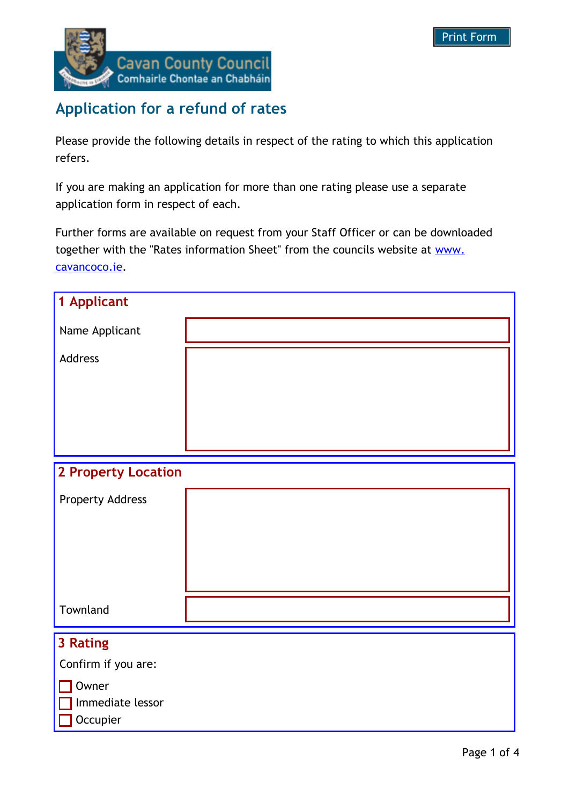

## **Application for a refund of rates**

Please provide the following details in respect of the rating to which this application refers.

If you are making an application for more than one rating please use a separate application form in respect of each.

Further forms are available on request from your Staff Officer or can be downloaded together with the "Rates information Sheet" from the councils website at www. cavancoco.ie.

| 1 Applicant                              |  |  |
|------------------------------------------|--|--|
| Name Applicant                           |  |  |
| Address                                  |  |  |
|                                          |  |  |
|                                          |  |  |
|                                          |  |  |
| <b>2 Property Location</b>               |  |  |
| <b>Property Address</b>                  |  |  |
|                                          |  |  |
|                                          |  |  |
|                                          |  |  |
| Townland                                 |  |  |
|                                          |  |  |
|                                          |  |  |
| Confirm if you are:                      |  |  |
| Owner                                    |  |  |
|                                          |  |  |
| 3 Rating<br>Immediate lessor<br>Occupier |  |  |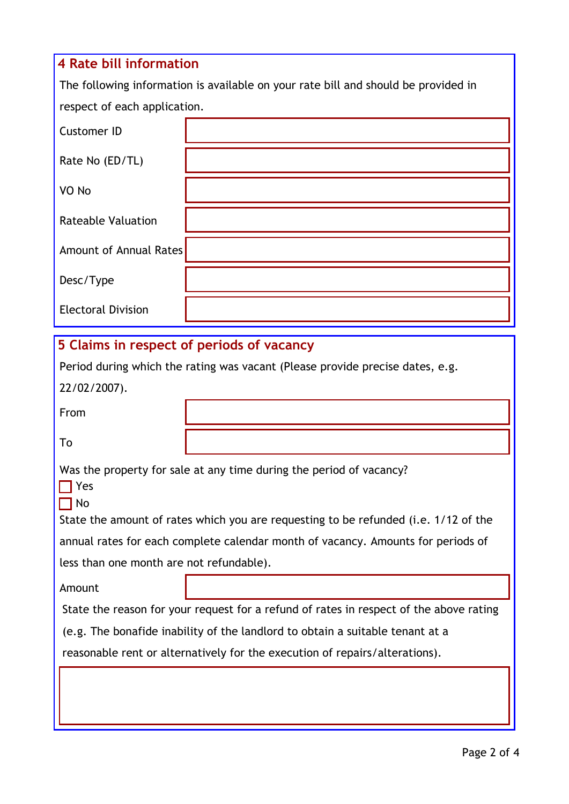# **4 Rate bill information** The following information is available on your rate bill and should be provided in respect of each application. Customer ID Rate No (ED/TL) VO No Rateable Valuation Amount of Annual Rates Desc/Type Electoral Division **5 Claims in respect of periods of vacancy** Period during which the rating was vacant (Please provide precise dates, e.g. 22/02/2007). From

To

Was the property for sale at any time during the period of vacancy?

 $\prod$  Yes  $\Box$  No

State the amount of rates which you are requesting to be refunded (i.e. 1/12 of the annual rates for each complete calendar month of vacancy. Amounts for periods of less than one month are not refundable).

Amount

State the reason for your request for a refund of rates in respect of the above rating

(e.g. The bonafide inability of the landlord to obtain a suitable tenant at a

reasonable rent or alternatively for the execution of repairs/alterations).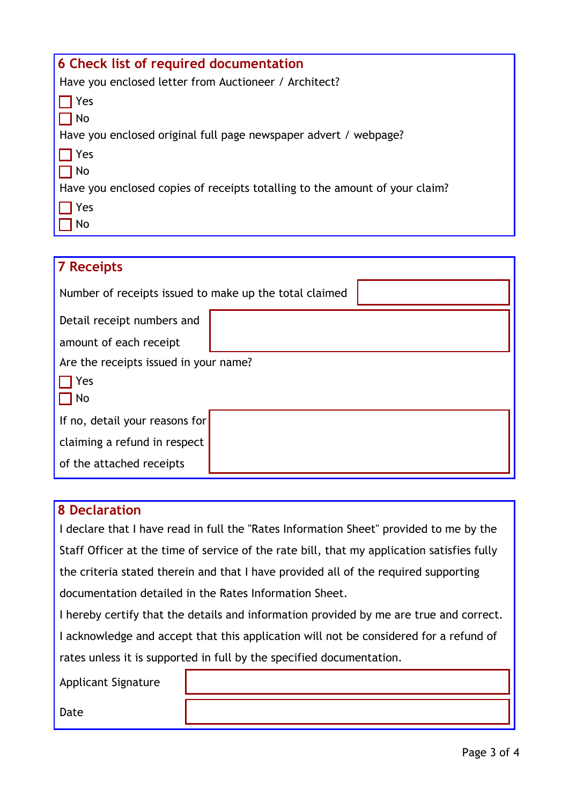| 6 Check list of required documentation                                      |  |  |
|-----------------------------------------------------------------------------|--|--|
| Have you enclosed letter from Auctioneer / Architect?                       |  |  |
| Yes                                                                         |  |  |
| No                                                                          |  |  |
| Have you enclosed original full page newspaper advert / webpage?            |  |  |
| Yes                                                                         |  |  |
| 1 No                                                                        |  |  |
| Have you enclosed copies of receipts totalling to the amount of your claim? |  |  |
| Yes                                                                         |  |  |
| No                                                                          |  |  |

| <b>7 Receipts</b>                                      |  |  |  |
|--------------------------------------------------------|--|--|--|
| Number of receipts issued to make up the total claimed |  |  |  |
| Detail receipt numbers and                             |  |  |  |
| amount of each receipt                                 |  |  |  |
| Are the receipts issued in your name?                  |  |  |  |
| Yes                                                    |  |  |  |
| No                                                     |  |  |  |
| If no, detail your reasons for                         |  |  |  |
| claiming a refund in respect                           |  |  |  |
| of the attached receipts                               |  |  |  |

## **8 Declaration**

I declare that I have read in full the "Rates Information Sheet" provided to me by the Staff Officer at the time of service of the rate bill, that my application satisfies fully the criteria stated therein and that I have provided all of the required supporting documentation detailed in the Rates Information Sheet.

I hereby certify that the details and information provided by me are true and correct. I acknowledge and accept that this application will not be considered for a refund of rates unless it is supported in full by the specified documentation.

Applicant Signature

Date